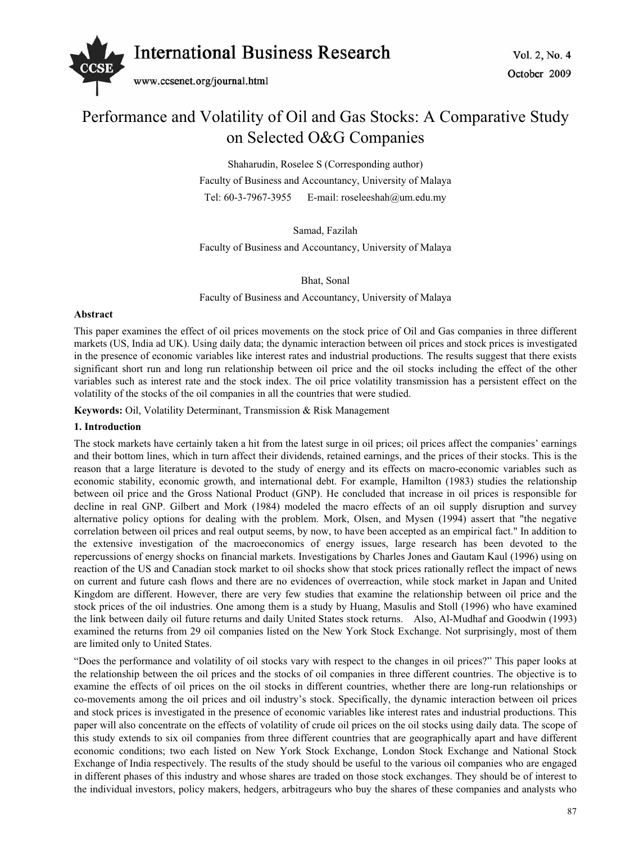

# Performance and Volatility of Oil and Gas Stocks: A Comparative Study on Selected O&G Companies

Shaharudin, Roselee S (Corresponding author) Faculty of Business and Accountancy, University of Malaya Tel: 60-3-7967-3955 E-mail: roseleeshah@um.edu.my

Samad, Fazilah

Faculty of Business and Accountancy, University of Malaya

Bhat, Sonal

Faculty of Business and Accountancy, University of Malaya

#### **Abstract**

This paper examines the effect of oil prices movements on the stock price of Oil and Gas companies in three different markets (US, India ad UK). Using daily data; the dynamic interaction between oil prices and stock prices is investigated in the presence of economic variables like interest rates and industrial productions. The results suggest that there exists significant short run and long run relationship between oil price and the oil stocks including the effect of the other variables such as interest rate and the stock index. The oil price volatility transmission has a persistent effect on the volatility of the stocks of the oil companies in all the countries that were studied.

**Keywords:** Oil, Volatility Determinant, Transmission & Risk Management

## **1. Introduction**

The stock markets have certainly taken a hit from the latest surge in oil prices; oil prices affect the companies' earnings and their bottom lines, which in turn affect their dividends, retained earnings, and the prices of their stocks. This is the reason that a large literature is devoted to the study of energy and its effects on macro-economic variables such as economic stability, economic growth, and international debt. For example, Hamilton (1983) studies the relationship between oil price and the Gross National Product (GNP). He concluded that increase in oil prices is responsible for decline in real GNP. Gilbert and Mork (1984) modeled the macro effects of an oil supply disruption and survey alternative policy options for dealing with the problem. Mork, Olsen, and Mysen (1994) assert that "the negative correlation between oil prices and real output seems, by now, to have been accepted as an empirical fact." In addition to the extensive investigation of the macroeconomics of energy issues, large research has been devoted to the repercussions of energy shocks on financial markets. Investigations by Charles Jones and Gautam Kaul (1996) using on reaction of the US and Canadian stock market to oil shocks show that stock prices rationally reflect the impact of news on current and future cash flows and there are no evidences of overreaction, while stock market in Japan and United Kingdom are different. However, there are very few studies that examine the relationship between oil price and the stock prices of the oil industries. One among them is a study by Huang, Masulis and Stoll (1996) who have examined the link between daily oil future returns and daily United States stock returns. Also, Al-Mudhaf and Goodwin (1993) examined the returns from 29 oil companies listed on the New York Stock Exchange. Not surprisingly, most of them are limited only to United States.

"Does the performance and volatility of oil stocks vary with respect to the changes in oil prices?" This paper looks at the relationship between the oil prices and the stocks of oil companies in three different countries. The objective is to examine the effects of oil prices on the oil stocks in different countries, whether there are long-run relationships or co-movements among the oil prices and oil industry's stock. Specifically, the dynamic interaction between oil prices and stock prices is investigated in the presence of economic variables like interest rates and industrial productions. This paper will also concentrate on the effects of volatility of crude oil prices on the oil stocks using daily data. The scope of this study extends to six oil companies from three different countries that are geographically apart and have different economic conditions; two each listed on New York Stock Exchange, London Stock Exchange and National Stock Exchange of India respectively. The results of the study should be useful to the various oil companies who are engaged in different phases of this industry and whose shares are traded on those stock exchanges. They should be of interest to the individual investors, policy makers, hedgers, arbitrageurs who buy the shares of these companies and analysts who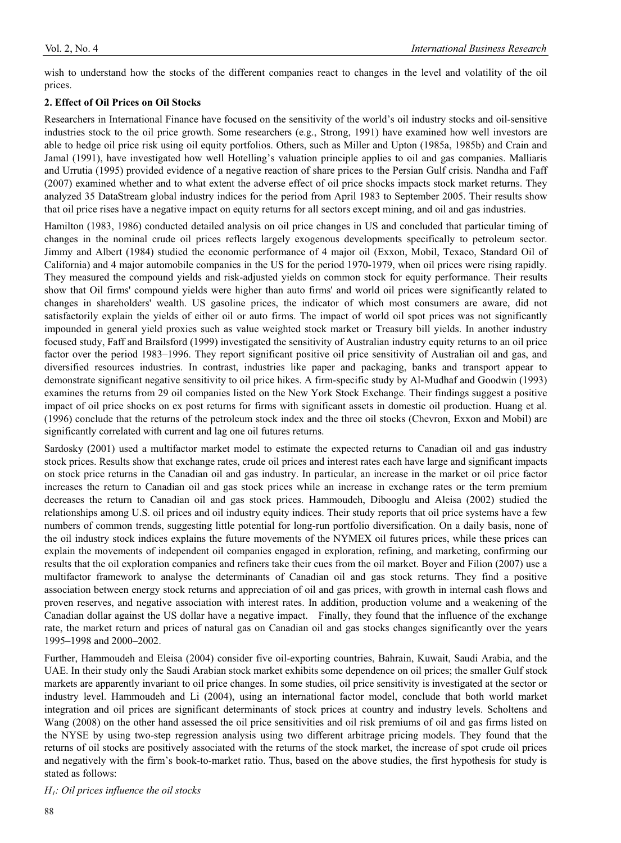wish to understand how the stocks of the different companies react to changes in the level and volatility of the oil prices.

## **2. Effect of Oil Prices on Oil Stocks**

Researchers in International Finance have focused on the sensitivity of the world's oil industry stocks and oil-sensitive industries stock to the oil price growth. Some researchers (e.g., Strong, 1991) have examined how well investors are able to hedge oil price risk using oil equity portfolios. Others, such as Miller and Upton (1985a, 1985b) and Crain and Jamal (1991), have investigated how well Hotelling's valuation principle applies to oil and gas companies. Malliaris and Urrutia (1995) provided evidence of a negative reaction of share prices to the Persian Gulf crisis. Nandha and Faff (2007) examined whether and to what extent the adverse effect of oil price shocks impacts stock market returns. They analyzed 35 DataStream global industry indices for the period from April 1983 to September 2005. Their results show that oil price rises have a negative impact on equity returns for all sectors except mining, and oil and gas industries.

Hamilton (1983, 1986) conducted detailed analysis on oil price changes in US and concluded that particular timing of changes in the nominal crude oil prices reflects largely exogenous developments specifically to petroleum sector. Jimmy and Albert (1984) studied the economic performance of 4 major oil (Exxon, Mobil, Texaco, Standard Oil of California) and 4 major automobile companies in the US for the period 1970-1979, when oil prices were rising rapidly. They measured the compound yields and risk-adjusted yields on common stock for equity performance. Their results show that Oil firms' compound yields were higher than auto firms' and world oil prices were significantly related to changes in shareholders' wealth. US gasoline prices, the indicator of which most consumers are aware, did not satisfactorily explain the yields of either oil or auto firms. The impact of world oil spot prices was not significantly impounded in general yield proxies such as value weighted stock market or Treasury bill yields. In another industry focused study, Faff and Brailsford (1999) investigated the sensitivity of Australian industry equity returns to an oil price factor over the period 1983–1996. They report significant positive oil price sensitivity of Australian oil and gas, and diversified resources industries. In contrast, industries like paper and packaging, banks and transport appear to demonstrate significant negative sensitivity to oil price hikes. A firm-specific study by Al-Mudhaf and Goodwin (1993) examines the returns from 29 oil companies listed on the New York Stock Exchange. Their findings suggest a positive impact of oil price shocks on ex post returns for firms with significant assets in domestic oil production. Huang et al. (1996) conclude that the returns of the petroleum stock index and the three oil stocks (Chevron, Exxon and Mobil) are significantly correlated with current and lag one oil futures returns.

Sardosky (2001) used a multifactor market model to estimate the expected returns to Canadian oil and gas industry stock prices. Results show that exchange rates, crude oil prices and interest rates each have large and significant impacts on stock price returns in the Canadian oil and gas industry. In particular, an increase in the market or oil price factor increases the return to Canadian oil and gas stock prices while an increase in exchange rates or the term premium decreases the return to Canadian oil and gas stock prices. Hammoudeh, Dibooglu and Aleisa (2002) studied the relationships among U.S. oil prices and oil industry equity indices. Their study reports that oil price systems have a few numbers of common trends, suggesting little potential for long-run portfolio diversification. On a daily basis, none of the oil industry stock indices explains the future movements of the NYMEX oil futures prices, while these prices can explain the movements of independent oil companies engaged in exploration, refining, and marketing, confirming our results that the oil exploration companies and refiners take their cues from the oil market. Boyer and Filion (2007) use a multifactor framework to analyse the determinants of Canadian oil and gas stock returns. They find a positive association between energy stock returns and appreciation of oil and gas prices, with growth in internal cash flows and proven reserves, and negative association with interest rates. In addition, production volume and a weakening of the Canadian dollar against the US dollar have a negative impact. Finally, they found that the influence of the exchange rate, the market return and prices of natural gas on Canadian oil and gas stocks changes significantly over the years 1995–1998 and 2000–2002.

Further, Hammoudeh and Eleisa (2004) consider five oil-exporting countries, Bahrain, Kuwait, Saudi Arabia, and the UAE. In their study only the Saudi Arabian stock market exhibits some dependence on oil prices; the smaller Gulf stock markets are apparently invariant to oil price changes. In some studies, oil price sensitivity is investigated at the sector or industry level. Hammoudeh and Li (2004), using an international factor model, conclude that both world market integration and oil prices are significant determinants of stock prices at country and industry levels. Scholtens and Wang (2008) on the other hand assessed the oil price sensitivities and oil risk premiums of oil and gas firms listed on the NYSE by using two-step regression analysis using two different arbitrage pricing models. They found that the returns of oil stocks are positively associated with the returns of the stock market, the increase of spot crude oil prices and negatively with the firm's book-to-market ratio. Thus, based on the above studies, the first hypothesis for study is stated as follows:

*H1: Oil prices influence the oil stocks*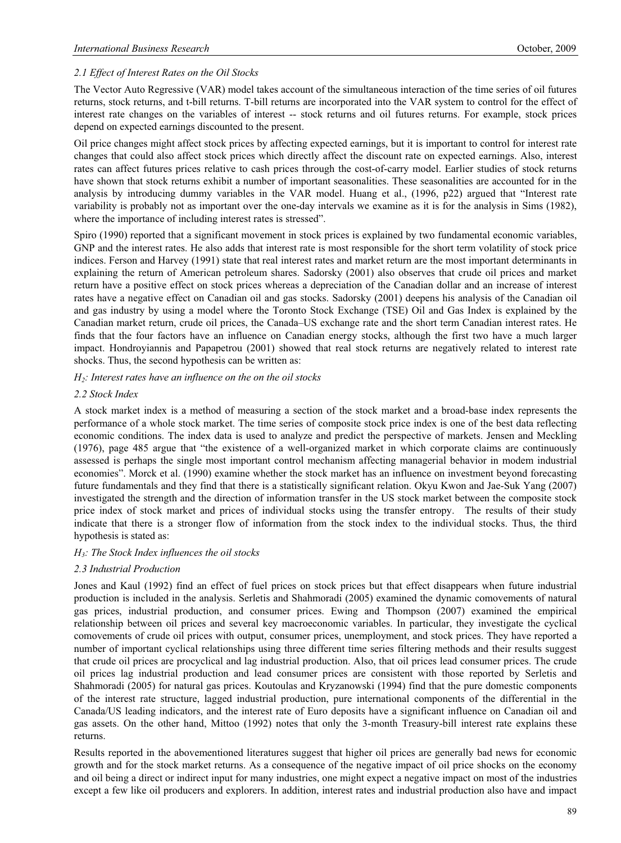## *2.1 Effect of Interest Rates on the Oil Stocks*

The Vector Auto Regressive (VAR) model takes account of the simultaneous interaction of the time series of oil futures returns, stock returns, and t-bill returns. T-bill returns are incorporated into the VAR system to control for the effect of interest rate changes on the variables of interest -- stock returns and oil futures returns. For example, stock prices depend on expected earnings discounted to the present.

Oil price changes might affect stock prices by affecting expected earnings, but it is important to control for interest rate changes that could also affect stock prices which directly affect the discount rate on expected earnings. Also, interest rates can affect futures prices relative to cash prices through the cost-of-carry model. Earlier studies of stock returns have shown that stock returns exhibit a number of important seasonalities. These seasonalities are accounted for in the analysis by introducing dummy variables in the VAR model. Huang et al., (1996, p22) argued that "Interest rate variability is probably not as important over the one-day intervals we examine as it is for the analysis in Sims (1982), where the importance of including interest rates is stressed".

Spiro (1990) reported that a significant movement in stock prices is explained by two fundamental economic variables, GNP and the interest rates. He also adds that interest rate is most responsible for the short term volatility of stock price indices. Ferson and Harvey (1991) state that real interest rates and market return are the most important determinants in explaining the return of American petroleum shares. Sadorsky (2001) also observes that crude oil prices and market return have a positive effect on stock prices whereas a depreciation of the Canadian dollar and an increase of interest rates have a negative effect on Canadian oil and gas stocks. Sadorsky (2001) deepens his analysis of the Canadian oil and gas industry by using a model where the Toronto Stock Exchange (TSE) Oil and Gas Index is explained by the Canadian market return, crude oil prices, the Canada–US exchange rate and the short term Canadian interest rates. He finds that the four factors have an influence on Canadian energy stocks, although the first two have a much larger impact. Hondroyiannis and Papapetrou (2001) showed that real stock returns are negatively related to interest rate shocks. Thus, the second hypothesis can be written as:

#### *H2: Interest rates have an influence on the on the oil stocks*

#### *2.2 Stock Index*

A stock market index is a method of measuring a section of the stock market and a broad-base index represents the performance of a whole stock market. The time series of composite stock price index is one of the best data reflecting economic conditions. The index data is used to analyze and predict the perspective of markets. Jensen and Meckling (1976), page 485 argue that "the existence of a well-organized market in which corporate claims are continuously assessed is perhaps the single most important control mechanism affecting managerial behavior in modem industrial economies". Morck et al. (1990) examine whether the stock market has an influence on investment beyond forecasting future fundamentals and they find that there is a statistically significant relation. Okyu Kwon and Jae-Suk Yang (2007) investigated the strength and the direction of information transfer in the US stock market between the composite stock price index of stock market and prices of individual stocks using the transfer entropy. The results of their study indicate that there is a stronger flow of information from the stock index to the individual stocks. Thus, the third hypothesis is stated as:

#### *H3: The Stock Index influences the oil stocks*

#### *2.3 Industrial Production*

Jones and Kaul (1992) find an effect of fuel prices on stock prices but that effect disappears when future industrial production is included in the analysis. Serletis and Shahmoradi (2005) examined the dynamic comovements of natural gas prices, industrial production, and consumer prices. Ewing and Thompson (2007) examined the empirical relationship between oil prices and several key macroeconomic variables. In particular, they investigate the cyclical comovements of crude oil prices with output, consumer prices, unemployment, and stock prices. They have reported a number of important cyclical relationships using three different time series filtering methods and their results suggest that crude oil prices are procyclical and lag industrial production. Also, that oil prices lead consumer prices. The crude oil prices lag industrial production and lead consumer prices are consistent with those reported by Serletis and Shahmoradi (2005) for natural gas prices. Koutoulas and Kryzanowski (1994) find that the pure domestic components of the interest rate structure, lagged industrial production, pure international components of the differential in the Canada/US leading indicators, and the interest rate of Euro deposits have a significant influence on Canadian oil and gas assets. On the other hand, Mittoo (1992) notes that only the 3-month Treasury-bill interest rate explains these returns.

Results reported in the abovementioned literatures suggest that higher oil prices are generally bad news for economic growth and for the stock market returns. As a consequence of the negative impact of oil price shocks on the economy and oil being a direct or indirect input for many industries, one might expect a negative impact on most of the industries except a few like oil producers and explorers. In addition, interest rates and industrial production also have and impact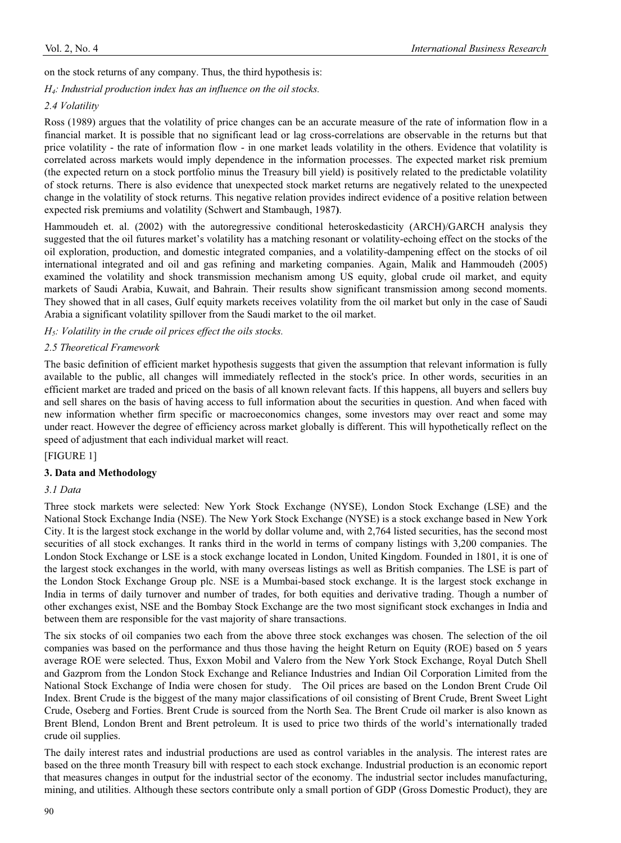on the stock returns of any company. Thus, the third hypothesis is:

*H4: Industrial production index has an influence on the oil stocks.* 

## *2.4 Volatility*

Ross (1989) argues that the volatility of price changes can be an accurate measure of the rate of information flow in a financial market. It is possible that no significant lead or lag cross-correlations are observable in the returns but that price volatility - the rate of information flow - in one market leads volatility in the others. Evidence that volatility is correlated across markets would imply dependence in the information processes. The expected market risk premium (the expected return on a stock portfolio minus the Treasury bill yield) is positively related to the predictable volatility of stock returns. There is also evidence that unexpected stock market returns are negatively related to the unexpected change in the volatility of stock returns. This negative relation provides indirect evidence of a positive relation between expected risk premiums and volatility (Schwert and Stambaugh, 1987**)**.

Hammoudeh et. al. (2002) with the autoregressive conditional heteroskedasticity (ARCH)/GARCH analysis they suggested that the oil futures market's volatility has a matching resonant or volatility-echoing effect on the stocks of the oil exploration, production, and domestic integrated companies, and a volatility-dampening effect on the stocks of oil international integrated and oil and gas refining and marketing companies. Again, Malik and Hammoudeh (2005) examined the volatility and shock transmission mechanism among US equity, global crude oil market, and equity markets of Saudi Arabia, Kuwait, and Bahrain. Their results show significant transmission among second moments. They showed that in all cases, Gulf equity markets receives volatility from the oil market but only in the case of Saudi Arabia a significant volatility spillover from the Saudi market to the oil market.

*H5: Volatility in the crude oil prices effect the oils stocks.* 

## *2.5 Theoretical Framework*

The basic definition of efficient market hypothesis suggests that given the assumption that relevant information is fully available to the public, all changes will immediately reflected in the stock's price. In other words, securities in an efficient market are traded and priced on the basis of all known relevant facts. If this happens, all buyers and sellers buy and sell shares on the basis of having access to full information about the securities in question. And when faced with new information whether firm specific or macroeconomics changes, some investors may over react and some may under react. However the degree of efficiency across market globally is different. This will hypothetically reflect on the speed of adjustment that each individual market will react.

#### [FIGURE 1]

#### **3. Data and Methodology**

#### *3.1 Data*

Three stock markets were selected: New York Stock Exchange (NYSE), London Stock Exchange (LSE) and the National Stock Exchange India (NSE). The New York Stock Exchange (NYSE) is a stock exchange based in New York City. It is the largest stock exchange in the world by dollar volume and, with 2,764 listed securities, has the second most securities of all stock exchanges. It ranks third in the world in terms of company listings with 3,200 companies. The London Stock Exchange or LSE is a stock exchange located in London, United Kingdom. Founded in 1801, it is one of the largest stock exchanges in the world, with many overseas listings as well as British companies. The LSE is part of the London Stock Exchange Group plc. NSE is a Mumbai-based stock exchange. It is the largest stock exchange in India in terms of daily turnover and number of trades, for both equities and derivative trading. Though a number of other exchanges exist, NSE and the Bombay Stock Exchange are the two most significant stock exchanges in India and between them are responsible for the vast majority of share transactions.

The six stocks of oil companies two each from the above three stock exchanges was chosen. The selection of the oil companies was based on the performance and thus those having the height Return on Equity (ROE) based on 5 years average ROE were selected. Thus, Exxon Mobil and Valero from the New York Stock Exchange, Royal Dutch Shell and Gazprom from the London Stock Exchange and Reliance Industries and Indian Oil Corporation Limited from the National Stock Exchange of India were chosen for study. The Oil prices are based on the London Brent Crude Oil Index. Brent Crude is the biggest of the many major classifications of oil consisting of Brent Crude, Brent Sweet Light Crude, Oseberg and Forties. Brent Crude is sourced from the North Sea. The Brent Crude oil marker is also known as Brent Blend, London Brent and Brent petroleum. It is used to price two thirds of the world's internationally traded crude oil supplies.

The daily interest rates and industrial productions are used as control variables in the analysis. The interest rates are based on the three month Treasury bill with respect to each stock exchange. Industrial production is an economic report that measures changes in output for the industrial sector of the economy. The industrial sector includes manufacturing, mining, and utilities. Although these sectors contribute only a small portion of GDP (Gross Domestic Product), they are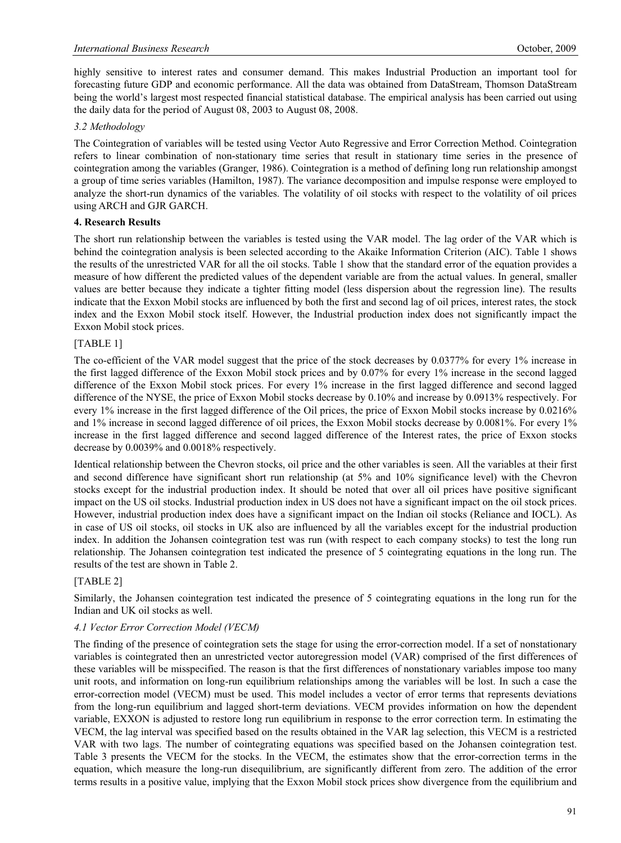highly sensitive to interest rates and consumer demand. This makes Industrial Production an important tool for forecasting future GDP and economic performance. All the data was obtained from DataStream, Thomson DataStream being the world's largest most respected financial statistical database. The empirical analysis has been carried out using the daily data for the period of August 08, 2003 to August 08, 2008.

## *3.2 Methodology*

The Cointegration of variables will be tested using Vector Auto Regressive and Error Correction Method. Cointegration refers to linear combination of non-stationary time series that result in stationary time series in the presence of cointegration among the variables (Granger, 1986). Cointegration is a method of defining long run relationship amongst a group of time series variables (Hamilton, 1987). The variance decomposition and impulse response were employed to analyze the short-run dynamics of the variables. The volatility of oil stocks with respect to the volatility of oil prices using ARCH and GJR GARCH.

## **4. Research Results**

The short run relationship between the variables is tested using the VAR model. The lag order of the VAR which is behind the cointegration analysis is been selected according to the Akaike Information Criterion (AIC). Table 1 shows the results of the unrestricted VAR for all the oil stocks. Table 1 show that the standard error of the equation provides a measure of how different the predicted values of the dependent variable are from the actual values. In general, smaller values are better because they indicate a tighter fitting model (less dispersion about the regression line). The results indicate that the Exxon Mobil stocks are influenced by both the first and second lag of oil prices, interest rates, the stock index and the Exxon Mobil stock itself. However, the Industrial production index does not significantly impact the Exxon Mobil stock prices.

## [TABLE 1]

The co-efficient of the VAR model suggest that the price of the stock decreases by 0.0377% for every 1% increase in the first lagged difference of the Exxon Mobil stock prices and by 0.07% for every 1% increase in the second lagged difference of the Exxon Mobil stock prices. For every 1% increase in the first lagged difference and second lagged difference of the NYSE, the price of Exxon Mobil stocks decrease by 0.10% and increase by 0.0913% respectively. For every 1% increase in the first lagged difference of the Oil prices, the price of Exxon Mobil stocks increase by 0.0216% and 1% increase in second lagged difference of oil prices, the Exxon Mobil stocks decrease by 0.0081%. For every 1% increase in the first lagged difference and second lagged difference of the Interest rates, the price of Exxon stocks decrease by 0.0039% and 0.0018% respectively.

Identical relationship between the Chevron stocks, oil price and the other variables is seen. All the variables at their first and second difference have significant short run relationship (at 5% and 10% significance level) with the Chevron stocks except for the industrial production index. It should be noted that over all oil prices have positive significant impact on the US oil stocks. Industrial production index in US does not have a significant impact on the oil stock prices. However, industrial production index does have a significant impact on the Indian oil stocks (Reliance and IOCL). As in case of US oil stocks, oil stocks in UK also are influenced by all the variables except for the industrial production index. In addition the Johansen cointegration test was run (with respect to each company stocks) to test the long run relationship. The Johansen cointegration test indicated the presence of 5 cointegrating equations in the long run. The results of the test are shown in Table 2.

## [TABLE 2]

Similarly, the Johansen cointegration test indicated the presence of 5 cointegrating equations in the long run for the Indian and UK oil stocks as well.

## *4.1 Vector Error Correction Model (VECM)*

The finding of the presence of cointegration sets the stage for using the error-correction model. If a set of nonstationary variables is cointegrated then an unrestricted vector autoregression model (VAR) comprised of the first differences of these variables will be misspecified. The reason is that the first differences of nonstationary variables impose too many unit roots, and information on long-run equilibrium relationships among the variables will be lost. In such a case the error-correction model (VECM) must be used. This model includes a vector of error terms that represents deviations from the long-run equilibrium and lagged short-term deviations. VECM provides information on how the dependent variable, EXXON is adjusted to restore long run equilibrium in response to the error correction term. In estimating the VECM, the lag interval was specified based on the results obtained in the VAR lag selection, this VECM is a restricted VAR with two lags. The number of cointegrating equations was specified based on the Johansen cointegration test. Table 3 presents the VECM for the stocks. In the VECM, the estimates show that the error-correction terms in the equation, which measure the long-run disequilibrium, are significantly different from zero. The addition of the error terms results in a positive value, implying that the Exxon Mobil stock prices show divergence from the equilibrium and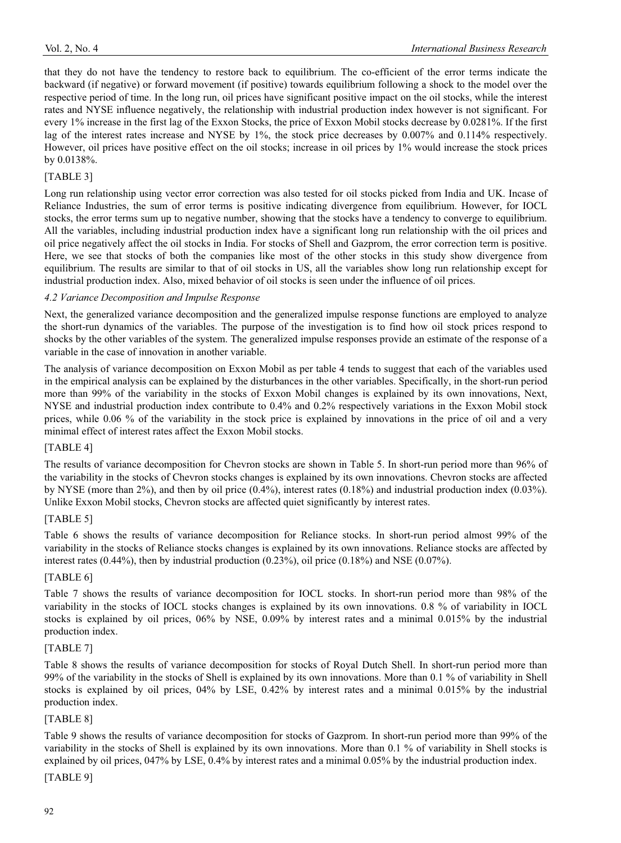that they do not have the tendency to restore back to equilibrium. The co-efficient of the error terms indicate the backward (if negative) or forward movement (if positive) towards equilibrium following a shock to the model over the respective period of time. In the long run, oil prices have significant positive impact on the oil stocks, while the interest rates and NYSE influence negatively, the relationship with industrial production index however is not significant. For every 1% increase in the first lag of the Exxon Stocks, the price of Exxon Mobil stocks decrease by 0.0281%. If the first lag of the interest rates increase and NYSE by 1%, the stock price decreases by 0.007% and 0.114% respectively. However, oil prices have positive effect on the oil stocks; increase in oil prices by 1% would increase the stock prices by 0.0138%.

# [TABLE 3]

Long run relationship using vector error correction was also tested for oil stocks picked from India and UK. Incase of Reliance Industries, the sum of error terms is positive indicating divergence from equilibrium. However, for IOCL stocks, the error terms sum up to negative number, showing that the stocks have a tendency to converge to equilibrium. All the variables, including industrial production index have a significant long run relationship with the oil prices and oil price negatively affect the oil stocks in India. For stocks of Shell and Gazprom, the error correction term is positive. Here, we see that stocks of both the companies like most of the other stocks in this study show divergence from equilibrium. The results are similar to that of oil stocks in US, all the variables show long run relationship except for industrial production index. Also, mixed behavior of oil stocks is seen under the influence of oil prices.

## *4.2 Variance Decomposition and Impulse Response*

Next, the generalized variance decomposition and the generalized impulse response functions are employed to analyze the short-run dynamics of the variables. The purpose of the investigation is to find how oil stock prices respond to shocks by the other variables of the system. The generalized impulse responses provide an estimate of the response of a variable in the case of innovation in another variable.

The analysis of variance decomposition on Exxon Mobil as per table 4 tends to suggest that each of the variables used in the empirical analysis can be explained by the disturbances in the other variables. Specifically, in the short-run period more than 99% of the variability in the stocks of Exxon Mobil changes is explained by its own innovations, Next, NYSE and industrial production index contribute to 0.4% and 0.2% respectively variations in the Exxon Mobil stock prices, while 0.06 % of the variability in the stock price is explained by innovations in the price of oil and a very minimal effect of interest rates affect the Exxon Mobil stocks.

## [TABLE 4]

The results of variance decomposition for Chevron stocks are shown in Table 5. In short-run period more than 96% of the variability in the stocks of Chevron stocks changes is explained by its own innovations. Chevron stocks are affected by NYSE (more than 2%), and then by oil price (0.4%), interest rates (0.18%) and industrial production index (0.03%). Unlike Exxon Mobil stocks, Chevron stocks are affected quiet significantly by interest rates.

## [TABLE 5]

Table 6 shows the results of variance decomposition for Reliance stocks. In short-run period almost 99% of the variability in the stocks of Reliance stocks changes is explained by its own innovations. Reliance stocks are affected by interest rates (0.44%), then by industrial production (0.23%), oil price (0.18%) and NSE (0.07%).

## [TABLE 6]

Table 7 shows the results of variance decomposition for IOCL stocks. In short-run period more than 98% of the variability in the stocks of IOCL stocks changes is explained by its own innovations. 0.8 % of variability in IOCL stocks is explained by oil prices, 06% by NSE, 0.09% by interest rates and a minimal 0.015% by the industrial production index.

## [TABLE 7]

Table 8 shows the results of variance decomposition for stocks of Royal Dutch Shell. In short-run period more than 99% of the variability in the stocks of Shell is explained by its own innovations. More than 0.1 % of variability in Shell stocks is explained by oil prices, 04% by LSE, 0.42% by interest rates and a minimal 0.015% by the industrial production index.

## [TABLE 8]

Table 9 shows the results of variance decomposition for stocks of Gazprom. In short-run period more than 99% of the variability in the stocks of Shell is explained by its own innovations. More than 0.1 % of variability in Shell stocks is explained by oil prices, 047% by LSE, 0.4% by interest rates and a minimal 0.05% by the industrial production index.

## [TABLE 9]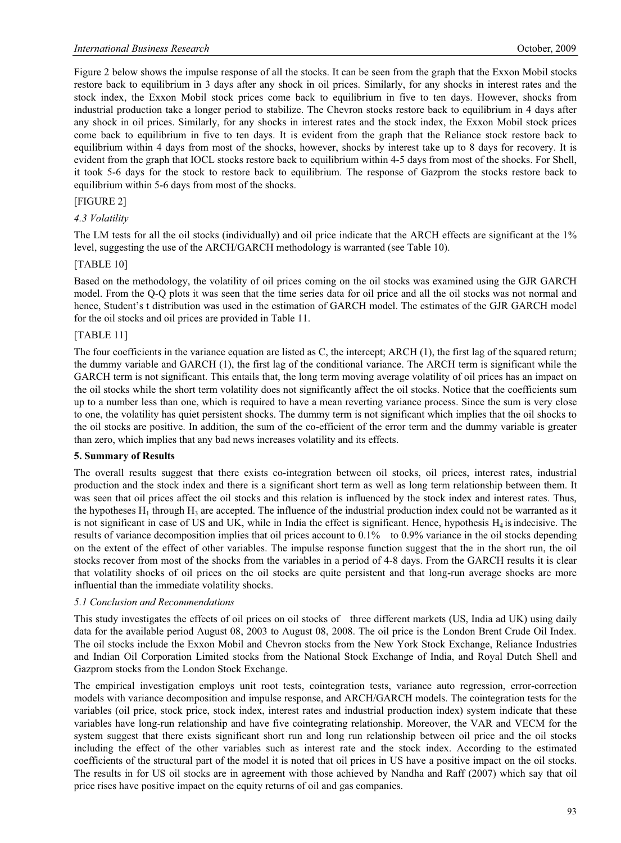Figure 2 below shows the impulse response of all the stocks. It can be seen from the graph that the Exxon Mobil stocks restore back to equilibrium in 3 days after any shock in oil prices. Similarly, for any shocks in interest rates and the stock index, the Exxon Mobil stock prices come back to equilibrium in five to ten days. However, shocks from industrial production take a longer period to stabilize. The Chevron stocks restore back to equilibrium in 4 days after any shock in oil prices. Similarly, for any shocks in interest rates and the stock index, the Exxon Mobil stock prices come back to equilibrium in five to ten days. It is evident from the graph that the Reliance stock restore back to equilibrium within 4 days from most of the shocks, however, shocks by interest take up to 8 days for recovery. It is evident from the graph that IOCL stocks restore back to equilibrium within 4-5 days from most of the shocks. For Shell, it took 5-6 days for the stock to restore back to equilibrium. The response of Gazprom the stocks restore back to equilibrium within 5-6 days from most of the shocks.

## [FIGURE 2]

#### *4.3 Volatility*

The LM tests for all the oil stocks (individually) and oil price indicate that the ARCH effects are significant at the 1% level, suggesting the use of the ARCH/GARCH methodology is warranted (see Table 10).

#### [TABLE 10]

Based on the methodology, the volatility of oil prices coming on the oil stocks was examined using the GJR GARCH model. From the Q-Q plots it was seen that the time series data for oil price and all the oil stocks was not normal and hence, Student's t distribution was used in the estimation of GARCH model. The estimates of the GJR GARCH model for the oil stocks and oil prices are provided in Table 11.

## [TABLE 11]

The four coefficients in the variance equation are listed as C, the intercept; ARCH (1), the first lag of the squared return; the dummy variable and GARCH (1), the first lag of the conditional variance. The ARCH term is significant while the GARCH term is not significant. This entails that, the long term moving average volatility of oil prices has an impact on the oil stocks while the short term volatility does not significantly affect the oil stocks. Notice that the coefficients sum up to a number less than one, which is required to have a mean reverting variance process. Since the sum is very close to one, the volatility has quiet persistent shocks. The dummy term is not significant which implies that the oil shocks to the oil stocks are positive. In addition, the sum of the co-efficient of the error term and the dummy variable is greater than zero, which implies that any bad news increases volatility and its effects.

#### **5. Summary of Results**

The overall results suggest that there exists co-integration between oil stocks, oil prices, interest rates, industrial production and the stock index and there is a significant short term as well as long term relationship between them. It was seen that oil prices affect the oil stocks and this relation is influenced by the stock index and interest rates. Thus, the hypotheses  $H_1$  through  $H_3$  are accepted. The influence of the industrial production index could not be warranted as it is not significant in case of US and UK, while in India the effect is significant. Hence, hypothesis  $H_4$  is indecisive. The results of variance decomposition implies that oil prices account to 0.1% to 0.9% variance in the oil stocks depending on the extent of the effect of other variables. The impulse response function suggest that the in the short run, the oil stocks recover from most of the shocks from the variables in a period of 4-8 days. From the GARCH results it is clear that volatility shocks of oil prices on the oil stocks are quite persistent and that long-run average shocks are more influential than the immediate volatility shocks.

#### *5.1 Conclusion and Recommendations*

This study investigates the effects of oil prices on oil stocks of three different markets (US, India ad UK) using daily data for the available period August 08, 2003 to August 08, 2008. The oil price is the London Brent Crude Oil Index. The oil stocks include the Exxon Mobil and Chevron stocks from the New York Stock Exchange, Reliance Industries and Indian Oil Corporation Limited stocks from the National Stock Exchange of India, and Royal Dutch Shell and Gazprom stocks from the London Stock Exchange.

The empirical investigation employs unit root tests, cointegration tests, variance auto regression, error-correction models with variance decomposition and impulse response, and ARCH/GARCH models. The cointegration tests for the variables (oil price, stock price, stock index, interest rates and industrial production index) system indicate that these variables have long-run relationship and have five cointegrating relationship. Moreover, the VAR and VECM for the system suggest that there exists significant short run and long run relationship between oil price and the oil stocks including the effect of the other variables such as interest rate and the stock index. According to the estimated coefficients of the structural part of the model it is noted that oil prices in US have a positive impact on the oil stocks. The results in for US oil stocks are in agreement with those achieved by Nandha and Raff (2007) which say that oil price rises have positive impact on the equity returns of oil and gas companies.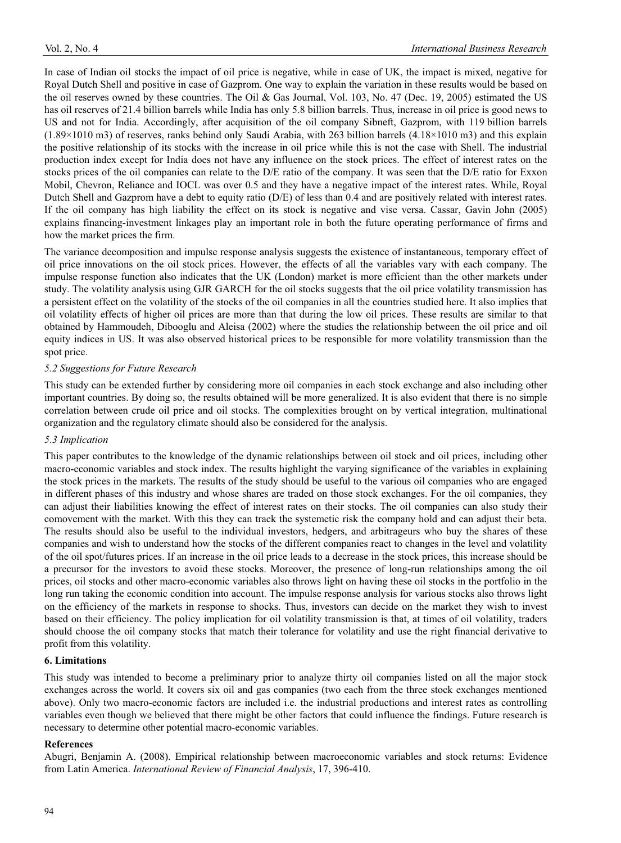In case of Indian oil stocks the impact of oil price is negative, while in case of UK, the impact is mixed, negative for Royal Dutch Shell and positive in case of Gazprom. One way to explain the variation in these results would be based on the oil reserves owned by these countries. The Oil & Gas Journal, Vol. 103, No. 47 (Dec. 19, 2005) estimated the US has oil reserves of 21.4 billion barrels while India has only 5.8 billion barrels. Thus, increase in oil price is good news to US and not for India. Accordingly, after acquisition of the oil company Sibneft, Gazprom, with 119 billion barrels (1.89×1010 m3) of reserves, ranks behind only Saudi Arabia, with 263 billion barrels (4.18×1010 m3) and this explain the positive relationship of its stocks with the increase in oil price while this is not the case with Shell. The industrial production index except for India does not have any influence on the stock prices. The effect of interest rates on the stocks prices of the oil companies can relate to the D/E ratio of the company. It was seen that the D/E ratio for Exxon Mobil, Chevron, Reliance and IOCL was over 0.5 and they have a negative impact of the interest rates. While, Royal Dutch Shell and Gazprom have a debt to equity ratio (D/E) of less than 0.4 and are positively related with interest rates. If the oil company has high liability the effect on its stock is negative and vise versa. Cassar, Gavin John (2005) explains financing-investment linkages play an important role in both the future operating performance of firms and how the market prices the firm.

The variance decomposition and impulse response analysis suggests the existence of instantaneous, temporary effect of oil price innovations on the oil stock prices. However, the effects of all the variables vary with each company. The impulse response function also indicates that the UK (London) market is more efficient than the other markets under study. The volatility analysis using GJR GARCH for the oil stocks suggests that the oil price volatility transmission has a persistent effect on the volatility of the stocks of the oil companies in all the countries studied here. It also implies that oil volatility effects of higher oil prices are more than that during the low oil prices. These results are similar to that obtained by Hammoudeh, Dibooglu and Aleisa (2002) where the studies the relationship between the oil price and oil equity indices in US. It was also observed historical prices to be responsible for more volatility transmission than the spot price.

## *5.2 Suggestions for Future Research*

This study can be extended further by considering more oil companies in each stock exchange and also including other important countries. By doing so, the results obtained will be more generalized. It is also evident that there is no simple correlation between crude oil price and oil stocks. The complexities brought on by vertical integration, multinational organization and the regulatory climate should also be considered for the analysis.

#### *5.3 Implication*

This paper contributes to the knowledge of the dynamic relationships between oil stock and oil prices, including other macro-economic variables and stock index. The results highlight the varying significance of the variables in explaining the stock prices in the markets. The results of the study should be useful to the various oil companies who are engaged in different phases of this industry and whose shares are traded on those stock exchanges. For the oil companies, they can adjust their liabilities knowing the effect of interest rates on their stocks. The oil companies can also study their comovement with the market. With this they can track the systemetic risk the company hold and can adjust their beta. The results should also be useful to the individual investors, hedgers, and arbitrageurs who buy the shares of these companies and wish to understand how the stocks of the different companies react to changes in the level and volatility of the oil spot/futures prices. If an increase in the oil price leads to a decrease in the stock prices, this increase should be a precursor for the investors to avoid these stocks. Moreover, the presence of long-run relationships among the oil prices, oil stocks and other macro-economic variables also throws light on having these oil stocks in the portfolio in the long run taking the economic condition into account. The impulse response analysis for various stocks also throws light on the efficiency of the markets in response to shocks. Thus, investors can decide on the market they wish to invest based on their efficiency. The policy implication for oil volatility transmission is that, at times of oil volatility, traders should choose the oil company stocks that match their tolerance for volatility and use the right financial derivative to profit from this volatility.

#### **6. Limitations**

This study was intended to become a preliminary prior to analyze thirty oil companies listed on all the major stock exchanges across the world. It covers six oil and gas companies (two each from the three stock exchanges mentioned above). Only two macro-economic factors are included i.e. the industrial productions and interest rates as controlling variables even though we believed that there might be other factors that could influence the findings. Future research is necessary to determine other potential macro-economic variables.

#### **References**

Abugri, Benjamin A. (2008). Empirical relationship between macroeconomic variables and stock returns: Evidence from Latin America. *International Review of Financial Analysis*, 17, 396-410.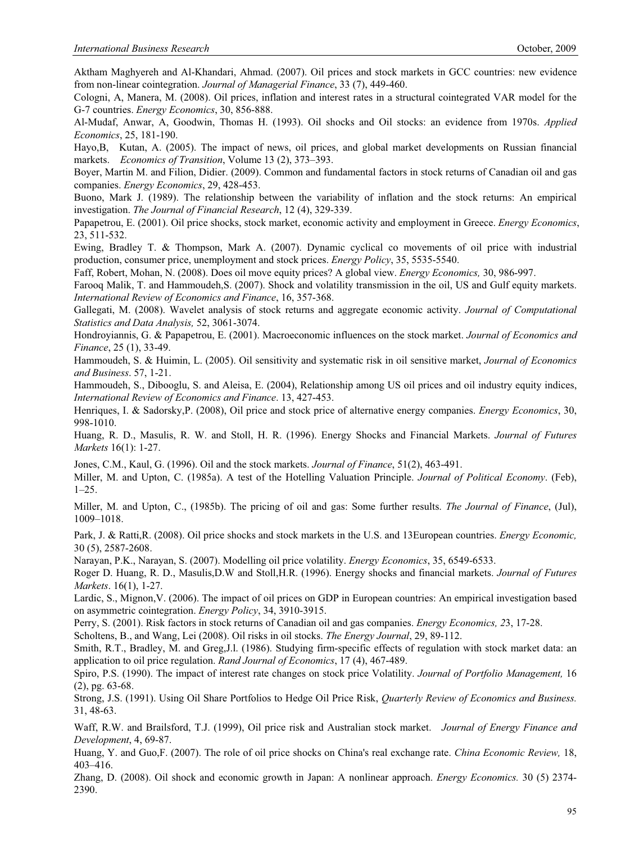Aktham Maghyereh and Al-Khandari, Ahmad. (2007). Oil prices and stock markets in GCC countries: new evidence from non-linear cointegration. *Journal of Managerial Finance*, 33 (7), 449-460.

Cologni, A, Manera, M. (2008). Oil prices, inflation and interest rates in a structural cointegrated VAR model for the G-7 countries. *Energy Economics*, 30, 856-888.

Al-Mudaf, Anwar, A, Goodwin, Thomas H. (1993). Oil shocks and Oil stocks: an evidence from 1970s. *Applied Economics*, 25, 181-190.

Hayo,B, Kutan, A. (2005). The impact of news, oil prices, and global market developments on Russian financial markets. *Economics of Transition*, Volume 13 (2), 373–393.

Boyer, Martin M. and Filion, Didier. (2009). Common and fundamental factors in stock returns of Canadian oil and gas companies. *Energy Economics*, 29, 428-453.

Buono, Mark J. (1989). The relationship between the variability of inflation and the stock returns: An empirical investigation. *The Journal of Financial Research*, 12 (4), 329-339.

Papapetrou, E. (2001). Oil price shocks, stock market, economic activity and employment in Greece. *Energy Economics*, 23, 511-532.

Ewing, Bradley T. & Thompson, Mark A. (2007). Dynamic cyclical co movements of oil price with industrial production, consumer price, unemployment and stock prices. *Energy Policy*, 35, 5535-5540.

Faff, Robert, Mohan, N. (2008). Does oil move equity prices? A global view. *Energy Economics,* 30, 986-997.

Farooq Malik, T. and Hammoudeh,S. (2007). Shock and volatility transmission in the oil, US and Gulf equity markets. *International Review of Economics and Finance*, 16, 357-368.

Gallegati, M. (2008). Wavelet analysis of stock returns and aggregate economic activity. *Journal of Computational Statistics and Data Analysis,* 52, 3061-3074.

Hondroyiannis, G. & Papapetrou, E. (2001). Macroeconomic influences on the stock market. *Journal of Economics and Finance*, 25 (1), 33-49.

Hammoudeh, S. & Huimin, L. (2005). Oil sensitivity and systematic risk in oil sensitive market, *Journal of Economics and Business*. 57, 1-21.

Hammoudeh, S., Dibooglu, S. and Aleisa, E. (2004), Relationship among US oil prices and oil industry equity indices, *International Review of Economics and Finance*. 13, 427-453.

Henriques, I. & Sadorsky,P. (2008), Oil price and stock price of alternative energy companies. *Energy Economics*, 30, 998-1010.

Huang, R. D., Masulis, R. W. and Stoll, H. R. (1996). Energy Shocks and Financial Markets. *Journal of Futures Markets* 16(1): 1-27.

Jones, C.M., Kaul, G. (1996). Oil and the stock markets. *Journal of Finance*, 51(2), 463-491.

Miller, M. and Upton, C. (1985a). A test of the Hotelling Valuation Principle. *Journal of Political Economy*. (Feb),  $1-25.$ 

Miller, M. and Upton, C., (1985b). The pricing of oil and gas: Some further results. *The Journal of Finance*, (Jul), 1009–1018.

Park, J. & Ratti,R. (2008). Oil price shocks and stock markets in the U.S. and 13European countries. *Energy Economic,*  30 (5), 2587-2608.

Narayan, P.K., Narayan, S. (2007). Modelling oil price volatility. *Energy Economics*, 35, 6549-6533.

Roger D. Huang, R. D., Masulis,D.W and Stoll,H.R. (1996). Energy shocks and financial markets. *Journal of Futures Markets*. 16(1), 1-27.

Lardic, S., Mignon,V. (2006). The impact of oil prices on GDP in European countries: An empirical investigation based on asymmetric cointegration. *Energy Policy*, 34, 3910-3915.

Perry, S. (2001). Risk factors in stock returns of Canadian oil and gas companies. *Energy Economics, 2*3, 17-28.

Scholtens, B., and Wang, Lei (2008). Oil risks in oil stocks. *The Energy Journal*, 29, 89-112.

Smith, R.T., Bradley, M. and Greg,J.l. (1986). Studying firm-specific effects of regulation with stock market data: an application to oil price regulation. *Rand Journal of Economics*, 17 (4), 467-489.

Spiro, P.S. (1990). The impact of interest rate changes on stock price Volatility. *Journal of Portfolio Management,* 16 (2), pg. 63-68.

Strong, J.S. (1991). Using Oil Share Portfolios to Hedge Oil Price Risk, *Quarterly Review of Economics and Business.*  31, 48-63.

Waff, R.W. and Brailsford, T.J. (1999), Oil price risk and Australian stock market. *Journal of Energy Finance and Development*, 4, 69-87.

Huang, Y. and Guo,F. (2007). The role of oil price shocks on China's real exchange rate. *China Economic Review,* 18, 403–416.

Zhang, D. (2008). Oil shock and economic growth in Japan: A nonlinear approach. *Energy Economics.* 30 (5) 2374- 2390.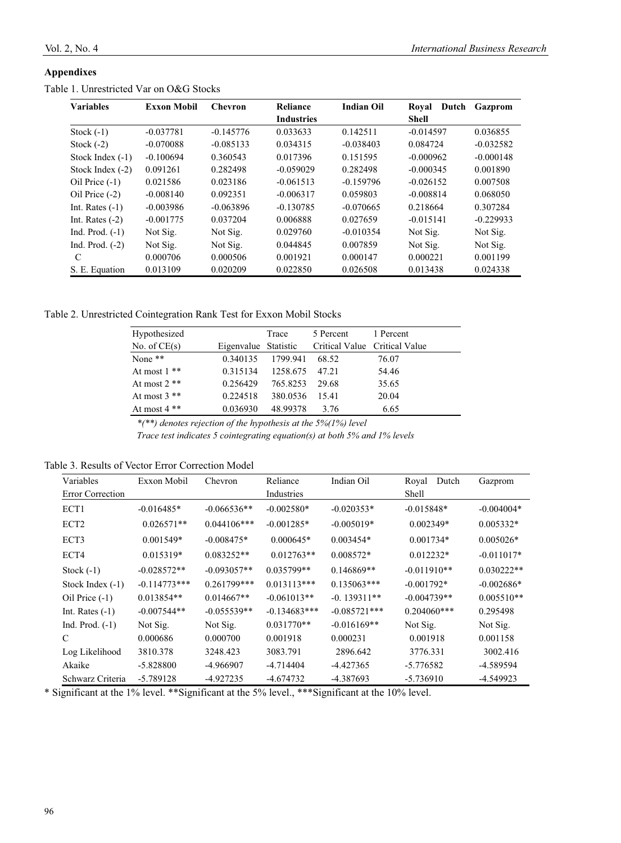#### **Appendixes**

| <b>Variables</b>   | <b>Exxon Mobil</b> | <b>Chevron</b> | Reliance          | <b>Indian Oil</b> | Royal<br>Dutch | Gazprom     |
|--------------------|--------------------|----------------|-------------------|-------------------|----------------|-------------|
|                    |                    |                | <b>Industries</b> |                   | <b>Shell</b>   |             |
| Stock $(-1)$       | $-0.037781$        | $-0.145776$    | 0.033633          | 0.142511          | $-0.014597$    | 0.036855    |
| Stock $(-2)$       | $-0.070088$        | $-0.085133$    | 0.034315          | $-0.038403$       | 0.084724       | $-0.032582$ |
| Stock Index $(-1)$ | $-0.100694$        | 0.360543       | 0.017396          | 0.151595          | $-0.000962$    | $-0.000148$ |
| Stock Index $(-2)$ | 0.091261           | 0.282498       | $-0.059029$       | 0.282498          | $-0.000345$    | 0.001890    |
| Oil Price $(-1)$   | 0.021586           | 0.023186       | $-0.061513$       | $-0.159796$       | $-0.026152$    | 0.007508    |
| Oil Price (-2)     | $-0.008140$        | 0.092351       | $-0.006317$       | 0.059803          | $-0.008814$    | 0.068050    |
| Int. Rates $(-1)$  | $-0.003986$        | $-0.063896$    | $-0.130785$       | $-0.070665$       | 0.218664       | 0.307284    |
| Int. Rates $(-2)$  | $-0.001775$        | 0.037204       | 0.006888          | 0.027659          | $-0.015141$    | $-0.229933$ |
| Ind. Prod. $(-1)$  | Not Sig.           | Not Sig.       | 0.029760          | $-0.010354$       | Not Sig.       | Not Sig.    |
| Ind. Prod. $(-2)$  | Not Sig.           | Not Sig.       | 0.044845          | 0.007859          | Not Sig.       | Not Sig.    |
| C                  | 0.000706           | 0.000506       | 0.001921          | 0.000147          | 0.000221       | 0.001199    |
| S. E. Equation     | 0.013109           | 0.020209       | 0.022850          | 0.026508          | 0.013438       | 0.024338    |

#### Table 1. Unrestricted Var on O&G Stocks

Table 2. Unrestricted Cointegration Rank Test for Exxon Mobil Stocks

| Hypothesized   |                      | Trace    | 5 Percent | 1 Percent                     |
|----------------|----------------------|----------|-----------|-------------------------------|
| No. of $CE(s)$ | Eigenvalue Statistic |          |           | Critical Value Critical Value |
| None $**$      | 0.340135             | 1799.941 | 68.52     | 76.07                         |
| At most $1**$  | 0.315134             | 1258.675 | 47.21     | 54.46                         |
| At most $2$ ** | 0.256429             | 765.8253 | 29.68     | 35.65                         |
| At most $3$ ** | 0.224518             | 380.0536 | 15.41     | 20.04                         |
| At most $4**$  | 0.036930             | 48.99378 | 3.76      | 6.65                          |

 *\*(\*\*) denotes rejection of the hypothesis at the 5%(1%) level* 

 *Trace test indicates 5 cointegrating equation(s) at both 5% and 1% levels* 

Table 3. Results of Vector Error Correction Model

| Variables               | Exxon Mobil    | Chevron       | Reliance       | Indian Oil     | Royal<br>Dutch | Gazprom      |
|-------------------------|----------------|---------------|----------------|----------------|----------------|--------------|
| <b>Error Correction</b> |                |               | Industries     |                | Shell          |              |
| ECT1                    | $-0.016485*$   | $-0.066536**$ | $-0.002580*$   | $-0.020353*$   | $-0.015848*$   | $-0.004004*$ |
| ECT <sub>2</sub>        | $0.026571**$   | $0.044106***$ | $-0.001285*$   | $-0.005019*$   | $0.002349*$    | $0.005332*$  |
| ECT3                    | $0.001549*$    | $-0.008475*$  | $0.000645*$    | $0.003454*$    | $0.001734*$    | $0.005026*$  |
| ECT4                    | $0.015319*$    | $0.083252**$  | $0.012763**$   | 0.008572*      | $0.012232*$    | $-0.011017*$ |
| Stock $(-1)$            | $-0.028572**$  | $-0.093057**$ | $0.035799**$   | $0.146869**$   | $-0.011910**$  | $0.030222**$ |
| Stock Index $(-1)$      | $-0.114773***$ | 0.261799***   | $0.013113***$  | $0.135063***$  | $-0.001792*$   | $-0.002686*$ |
| Oil Price $(-1)$        | $0.013854**$   | $0.014667**$  | $-0.061013**$  | $-0.139311**$  | $-0.004739**$  | $0.005510**$ |
| Int. Rates $(-1)$       | $-0.007544**$  | $-0.055539**$ | $-0.134683***$ | $-0.085721***$ | $0.204060***$  | 0.295498     |
| Ind. Prod. $(-1)$       | Not Sig.       | Not Sig.      | $0.031770**$   | $-0.016169**$  | Not Sig.       | Not Sig.     |
| C                       | 0.000686       | 0.000700      | 0.001918       | 0.000231       | 0.001918       | 0.001158     |
| Log Likelihood          | 3810.378       | 3248.423      | 3083.791       | 2896.642       | 3776.331       | 3002.416     |
| Akaike                  | -5.828800      | -4.966907     | -4.714404      | $-4.427365$    | -5.776582      | -4.589594    |
| Schwarz Criteria        | $-5.789128$    | -4.927235     | -4.674732      | -4.387693      | $-5.736910$    | -4.549923    |

\* Significant at the 1% level. \*\*Significant at the 5% level., \*\*\*Significant at the 10% level.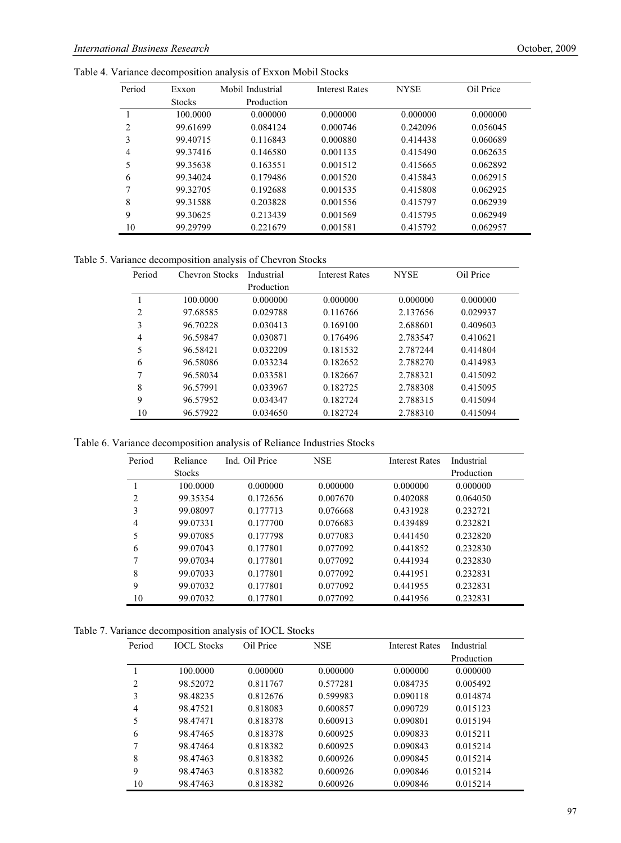| Period | Exxon         | Mobil Industrial | <b>Interest Rates</b> | <b>NYSE</b> | Oil Price |
|--------|---------------|------------------|-----------------------|-------------|-----------|
|        | <b>Stocks</b> | Production       |                       |             |           |
|        | 100,0000      | 0.000000         | 0.000000              | 0.000000    | 0.000000  |
| 2      | 99.61699      | 0.084124         | 0.000746              | 0.242096    | 0.056045  |
| 3      | 99.40715      | 0.116843         | 0.000880              | 0.414438    | 0.060689  |
| 4      | 99.37416      | 0.146580         | 0.001135              | 0.415490    | 0.062635  |
| 5      | 99.35638      | 0.163551         | 0.001512              | 0.415665    | 0.062892  |
| 6      | 99.34024      | 0.179486         | 0.001520              | 0.415843    | 0.062915  |
| 7      | 99.32705      | 0.192688         | 0.001535              | 0.415808    | 0.062925  |
| 8      | 99.31588      | 0.203828         | 0.001556              | 0.415797    | 0.062939  |
| 9      | 99.30625      | 0.213439         | 0.001569              | 0.415795    | 0.062949  |
| 10     | 99.29799      | 0.221679         | 0.001581              | 0.415792    | 0.062957  |

Table 4. Variance decomposition analysis of Exxon Mobil Stocks

Table 5. Variance decomposition analysis of Chevron Stocks

| Period         | Chevron Stocks | Industrial | <b>Interest Rates</b> | <b>NYSE</b> | Oil Price |
|----------------|----------------|------------|-----------------------|-------------|-----------|
|                |                | Production |                       |             |           |
|                | 100,0000       | 0.000000   | 0.000000              | 0.000000    | 0.000000  |
| $\overline{c}$ | 97.68585       | 0.029788   | 0.116766              | 2.137656    | 0.029937  |
| 3              | 96.70228       | 0.030413   | 0.169100              | 2.688601    | 0.409603  |
| $\overline{4}$ | 96.59847       | 0.030871   | 0.176496              | 2.783547    | 0.410621  |
| 5              | 96.58421       | 0.032209   | 0.181532              | 2.787244    | 0.414804  |
| 6              | 96.58086       | 0.033234   | 0.182652              | 2.788270    | 0.414983  |
| 7              | 96.58034       | 0.033581   | 0.182667              | 2.788321    | 0.415092  |
| 8              | 96.57991       | 0.033967   | 0.182725              | 2.788308    | 0.415095  |
| 9              | 96.57952       | 0.034347   | 0.182724              | 2.788315    | 0.415094  |
| 10             | 96.57922       | 0.034650   | 0.182724              | 2.788310    | 0.415094  |

Table 6. Variance decomposition analysis of Reliance Industries Stocks

| Period         | Reliance      | Ind. Oil Price | <b>NSE</b> | <b>Interest Rates</b> | Industrial |
|----------------|---------------|----------------|------------|-----------------------|------------|
|                | <b>Stocks</b> |                |            |                       | Production |
|                | 100.0000      | 0.000000       | 0.000000   | 0.000000              | 0.000000   |
| $\overline{c}$ | 99.35354      | 0.172656       | 0.007670   | 0.402088              | 0.064050   |
| 3              | 99.08097      | 0.177713       | 0.076668   | 0.431928              | 0.232721   |
| 4              | 99.07331      | 0.177700       | 0.076683   | 0.439489              | 0.232821   |
| 5              | 99.07085      | 0.177798       | 0.077083   | 0.441450              | 0.232820   |
| 6              | 99.07043      | 0.177801       | 0.077092   | 0.441852              | 0.232830   |
| 7              | 99.07034      | 0.177801       | 0.077092   | 0.441934              | 0.232830   |
| 8              | 99.07033      | 0.177801       | 0.077092   | 0.441951              | 0.232831   |
| 9              | 99.07032      | 0.177801       | 0.077092   | 0.441955              | 0.232831   |
| 10             | 99.07032      | 0.177801       | 0.077092   | 0.441956              | 0.232831   |

|  |  | Table 7. Variance decomposition analysis of IOCL Stocks |
|--|--|---------------------------------------------------------|
|  |  |                                                         |

| Period | <b>IOCL Stocks</b> | Oil Price | <b>NSE</b> | <b>Interest Rates</b> | Industrial |
|--------|--------------------|-----------|------------|-----------------------|------------|
|        |                    |           |            |                       | Production |
|        | 100,0000           | 0.000000  | 0.000000   | 0.000000              | 0.000000   |
| 2      | 98.52072           | 0.811767  | 0.577281   | 0.084735              | 0.005492   |
| 3      | 98.48235           | 0.812676  | 0.599983   | 0.090118              | 0.014874   |
| 4      | 98.47521           | 0.818083  | 0.600857   | 0.090729              | 0.015123   |
| 5      | 98.47471           | 0.818378  | 0.600913   | 0.090801              | 0.015194   |
| 6      | 98.47465           | 0.818378  | 0.600925   | 0.090833              | 0.015211   |
| 7      | 98.47464           | 0.818382  | 0.600925   | 0.090843              | 0.015214   |
| 8      | 98.47463           | 0.818382  | 0.600926   | 0.090845              | 0.015214   |
| 9      | 98.47463           | 0.818382  | 0.600926   | 0.090846              | 0.015214   |
| 10     | 98.47463           | 0.818382  | 0.600926   | 0.090846              | 0.015214   |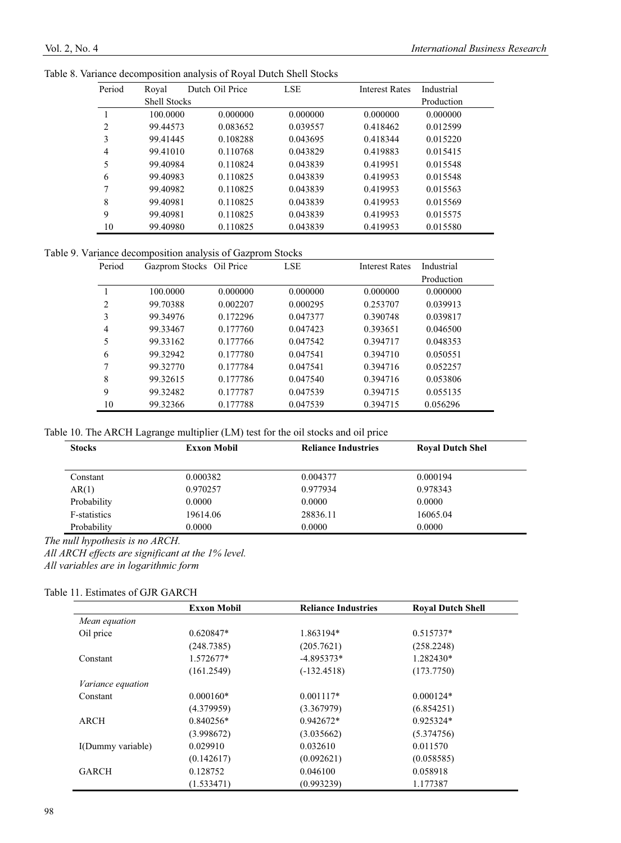| Period | Royal               | Dutch Oil Price | <b>LSE</b> | <b>Interest Rates</b> | Industrial |
|--------|---------------------|-----------------|------------|-----------------------|------------|
|        | <b>Shell Stocks</b> |                 |            |                       | Production |
|        | 100,0000            | 0.000000        | 0.000000   | 0.000000              | 0.000000   |
| 2      | 99.44573            | 0.083652        | 0.039557   | 0.418462              | 0.012599   |
| 3      | 99.41445            | 0.108288        | 0.043695   | 0.418344              | 0.015220   |
| 4      | 99.41010            | 0.110768        | 0.043829   | 0.419883              | 0.015415   |
| 5      | 99.40984            | 0.110824        | 0.043839   | 0.419951              | 0.015548   |
| 6      | 99.40983            | 0.110825        | 0.043839   | 0.419953              | 0.015548   |
| 7      | 99.40982            | 0.110825        | 0.043839   | 0.419953              | 0.015563   |
| 8      | 99.40981            | 0.110825        | 0.043839   | 0.419953              | 0.015569   |
| 9      | 99.40981            | 0.110825        | 0.043839   | 0.419953              | 0.015575   |
| 10     | 99.40980            | 0.110825        | 0.043839   | 0.419953              | 0.015580   |

Table 8. Variance decomposition analysis of Royal Dutch Shell Stocks

Table 9. Variance decomposition analysis of Gazprom Stocks

| Period | Gazprom Stocks Oil Price |          | <b>LSE</b> | <b>Interest Rates</b> | Industrial |
|--------|--------------------------|----------|------------|-----------------------|------------|
|        |                          |          |            |                       | Production |
|        | 100.0000                 | 0.000000 | 0.000000   | 0.000000              | 0.000000   |
| 2      | 99.70388                 | 0.002207 | 0.000295   | 0.253707              | 0.039913   |
| 3      | 99.34976                 | 0.172296 | 0.047377   | 0.390748              | 0.039817   |
| 4      | 99.33467                 | 0.177760 | 0.047423   | 0.393651              | 0.046500   |
| 5      | 99.33162                 | 0.177766 | 0.047542   | 0.394717              | 0.048353   |
| 6      | 99.32942                 | 0.177780 | 0.047541   | 0.394710              | 0.050551   |
| 7      | 99.32770                 | 0.177784 | 0.047541   | 0.394716              | 0.052257   |
| 8      | 99.32615                 | 0.177786 | 0.047540   | 0.394716              | 0.053806   |
| 9      | 99.32482                 | 0.177787 | 0.047539   | 0.394715              | 0.055135   |
| 10     | 99.32366                 | 0.177788 | 0.047539   | 0.394715              | 0.056296   |

Table 10. The ARCH Lagrange multiplier (LM) test for the oil stocks and oil price

| <b>Stocks</b> | <b>Exxon Mobil</b> | <b>Reliance Industries</b> | <b>Royal Dutch Shel</b> |
|---------------|--------------------|----------------------------|-------------------------|
|               |                    |                            |                         |
| Constant      | 0.000382           | 0.004377                   | 0.000194                |
| AR(1)         | 0.970257           | 0.977934                   | 0.978343                |
| Probability   | 0.0000             | 0.0000                     | 0.0000                  |
| F-statistics  | 19614.06           | 28836.11                   | 16065.04                |
| Probability   | 0.0000             | 0.0000                     | 0.0000                  |

*The null hypothesis is no ARCH.* 

*All ARCH effects are significant at the 1% level.* 

*All variables are in logarithmic form* 

#### Table 11. Estimates of GJR GARCH

|                   | <b>Exxon Mobil</b> | <b>Reliance Industries</b> | <b>Royal Dutch Shell</b> |  |
|-------------------|--------------------|----------------------------|--------------------------|--|
| Mean equation     |                    |                            |                          |  |
| Oil price         | $0.620847*$        | 1.863194*                  | $0.515737*$              |  |
|                   | (248.7385)         | (205.7621)                 | (258.2248)               |  |
| Constant          | 1.572677*          | $-4.895373*$               | 1.282430*                |  |
|                   | (161.2549)         | $(-132.4518)$              | (173.7750)               |  |
| Variance equation |                    |                            |                          |  |
| Constant          | $0.000160*$        | $0.001117*$                | $0.000124*$              |  |
|                   | (4.379959)         | (3.367979)                 | (6.854251)               |  |
| ARCH              | $0.840256*$        | $0.942672*$                | $0.925324*$              |  |
|                   | (3.998672)         | (3.035662)                 | (5.374756)               |  |
| I(Dummy variable) | 0.029910           | 0.032610                   | 0.011570                 |  |
|                   | (0.142617)         | (0.092621)                 | (0.058585)               |  |
| <b>GARCH</b>      | 0.128752           | 0.046100                   | 0.058918                 |  |
|                   | (1.533471)         | (0.993239)                 | 1.177387                 |  |